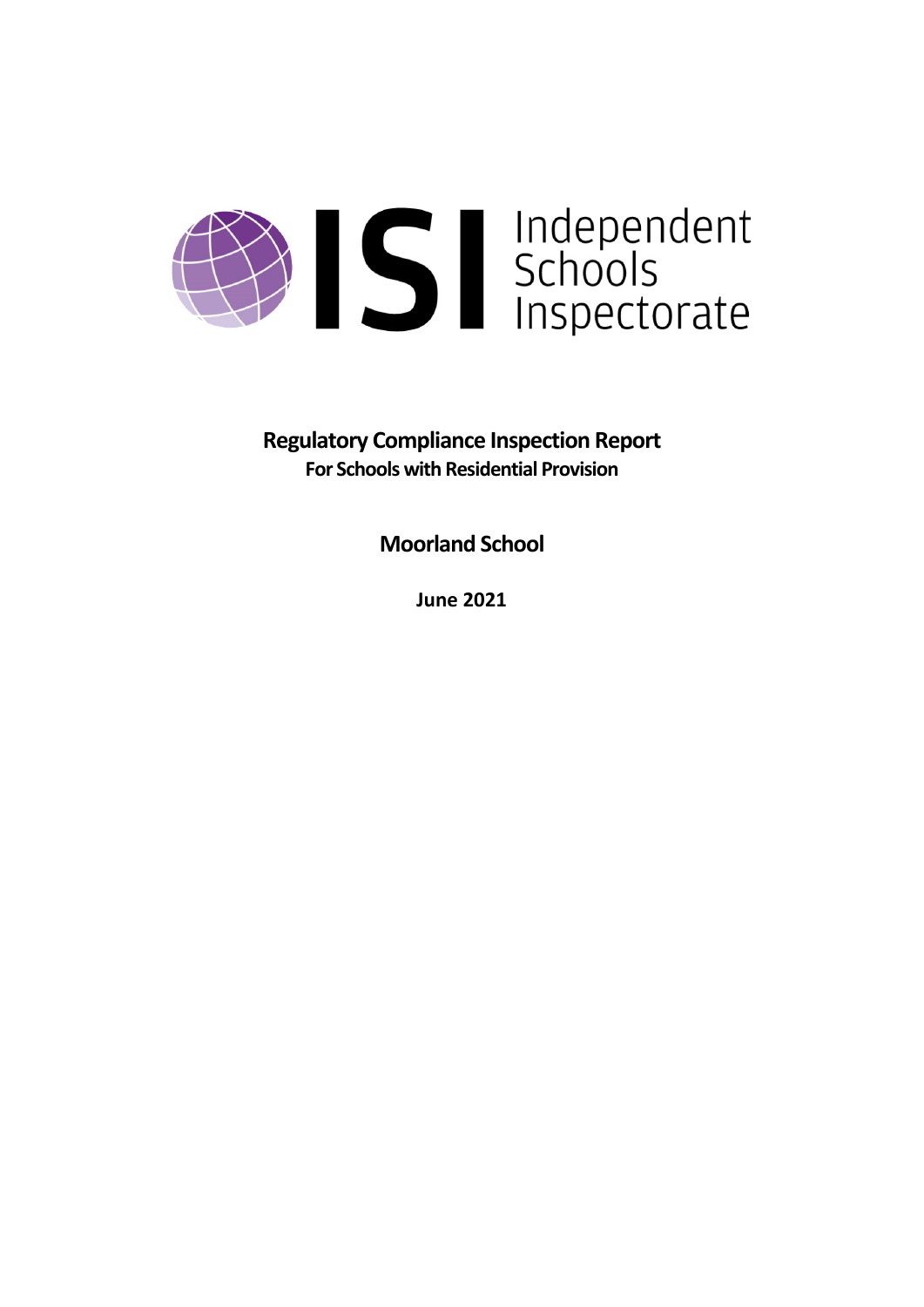

**Regulatory Compliance Inspection Report For Schools with Residential Provision**

**Moorland School**

**June 2021**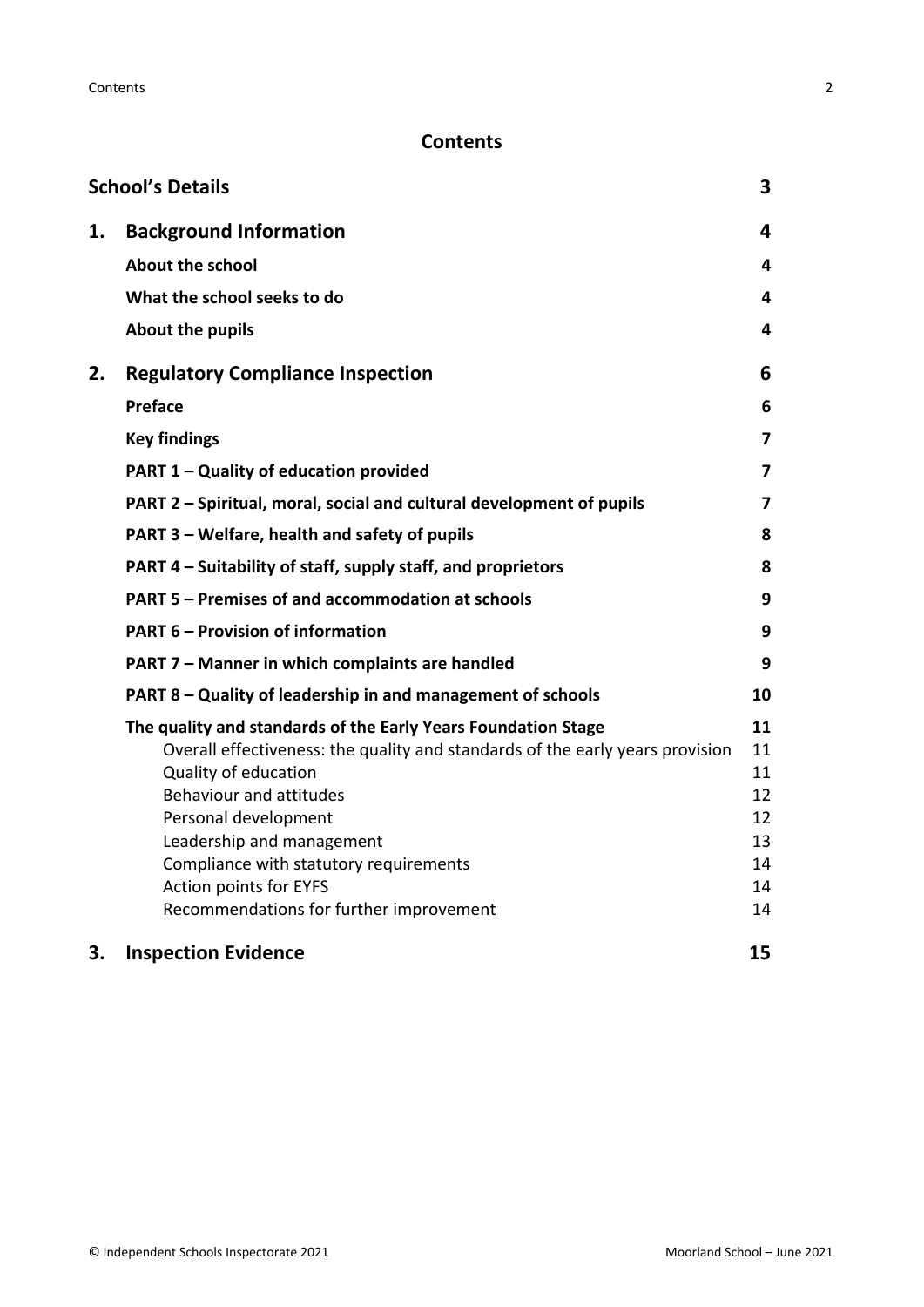# **Contents**

|    | <b>School's Details</b>                                                                                                                                                                                                                                                                                                                                               | 3                                                  |
|----|-----------------------------------------------------------------------------------------------------------------------------------------------------------------------------------------------------------------------------------------------------------------------------------------------------------------------------------------------------------------------|----------------------------------------------------|
| 1. | <b>Background Information</b>                                                                                                                                                                                                                                                                                                                                         | 4                                                  |
|    | <b>About the school</b>                                                                                                                                                                                                                                                                                                                                               | 4                                                  |
|    | What the school seeks to do                                                                                                                                                                                                                                                                                                                                           | 4                                                  |
|    | About the pupils                                                                                                                                                                                                                                                                                                                                                      | 4                                                  |
| 2. | <b>Regulatory Compliance Inspection</b>                                                                                                                                                                                                                                                                                                                               | 6                                                  |
|    | <b>Preface</b>                                                                                                                                                                                                                                                                                                                                                        | 6                                                  |
|    | <b>Key findings</b>                                                                                                                                                                                                                                                                                                                                                   | $\overline{7}$                                     |
|    | PART 1 - Quality of education provided                                                                                                                                                                                                                                                                                                                                | 7                                                  |
|    | PART 2 - Spiritual, moral, social and cultural development of pupils                                                                                                                                                                                                                                                                                                  | 7                                                  |
|    | PART 3 - Welfare, health and safety of pupils                                                                                                                                                                                                                                                                                                                         | 8                                                  |
|    | PART 4 - Suitability of staff, supply staff, and proprietors                                                                                                                                                                                                                                                                                                          | 8                                                  |
|    | <b>PART 5 - Premises of and accommodation at schools</b>                                                                                                                                                                                                                                                                                                              | 9                                                  |
|    | <b>PART 6 - Provision of information</b>                                                                                                                                                                                                                                                                                                                              | 9                                                  |
|    | PART 7 - Manner in which complaints are handled                                                                                                                                                                                                                                                                                                                       | 9                                                  |
|    | PART 8 - Quality of leadership in and management of schools                                                                                                                                                                                                                                                                                                           | 10                                                 |
|    | The quality and standards of the Early Years Foundation Stage<br>Overall effectiveness: the quality and standards of the early years provision<br>Quality of education<br>Behaviour and attitudes<br>Personal development<br>Leadership and management<br>Compliance with statutory requirements<br>Action points for EYFS<br>Recommendations for further improvement | 11<br>11<br>11<br>12<br>12<br>13<br>14<br>14<br>14 |
| 3. | <b>Inspection Evidence</b>                                                                                                                                                                                                                                                                                                                                            | 15                                                 |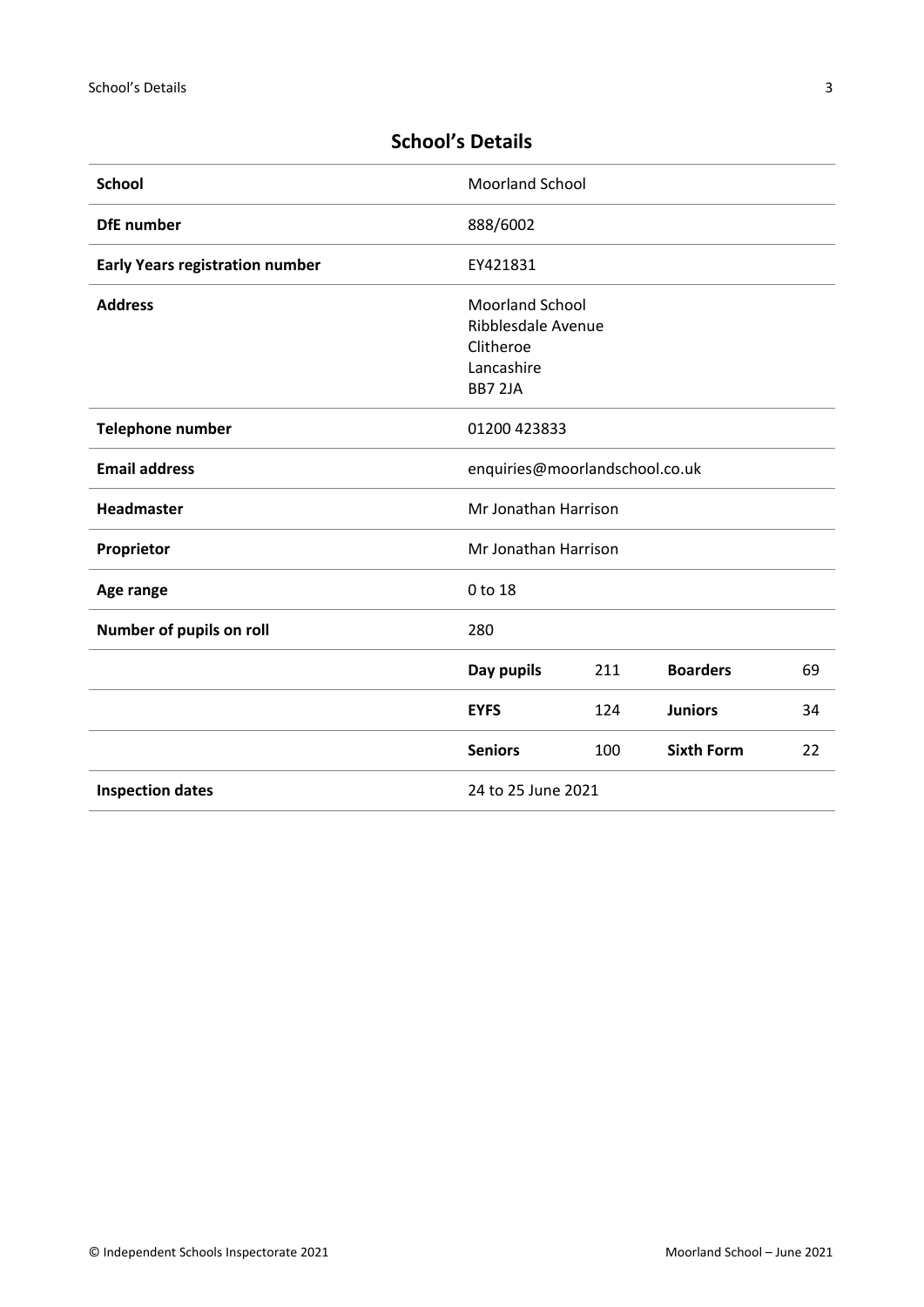| <b>School</b>                          | <b>Moorland School</b>                                                             |     |                   |    |
|----------------------------------------|------------------------------------------------------------------------------------|-----|-------------------|----|
| <b>DfE</b> number                      | 888/6002                                                                           |     |                   |    |
| <b>Early Years registration number</b> | EY421831                                                                           |     |                   |    |
| <b>Address</b>                         | <b>Moorland School</b><br>Ribblesdale Avenue<br>Clitheroe<br>Lancashire<br>BB7 2JA |     |                   |    |
| <b>Telephone number</b>                | 01200 423833                                                                       |     |                   |    |
| <b>Email address</b>                   | enquiries@moorlandschool.co.uk                                                     |     |                   |    |
| Headmaster                             | Mr Jonathan Harrison                                                               |     |                   |    |
| Proprietor                             | Mr Jonathan Harrison                                                               |     |                   |    |
| Age range                              | 0 to 18                                                                            |     |                   |    |
| Number of pupils on roll               | 280                                                                                |     |                   |    |
|                                        | Day pupils                                                                         | 211 | <b>Boarders</b>   | 69 |
|                                        | <b>EYFS</b>                                                                        | 124 | <b>Juniors</b>    | 34 |
|                                        | <b>Seniors</b>                                                                     | 100 | <b>Sixth Form</b> | 22 |
| <b>Inspection dates</b>                | 24 to 25 June 2021                                                                 |     |                   |    |

# <span id="page-2-0"></span>**School's Details**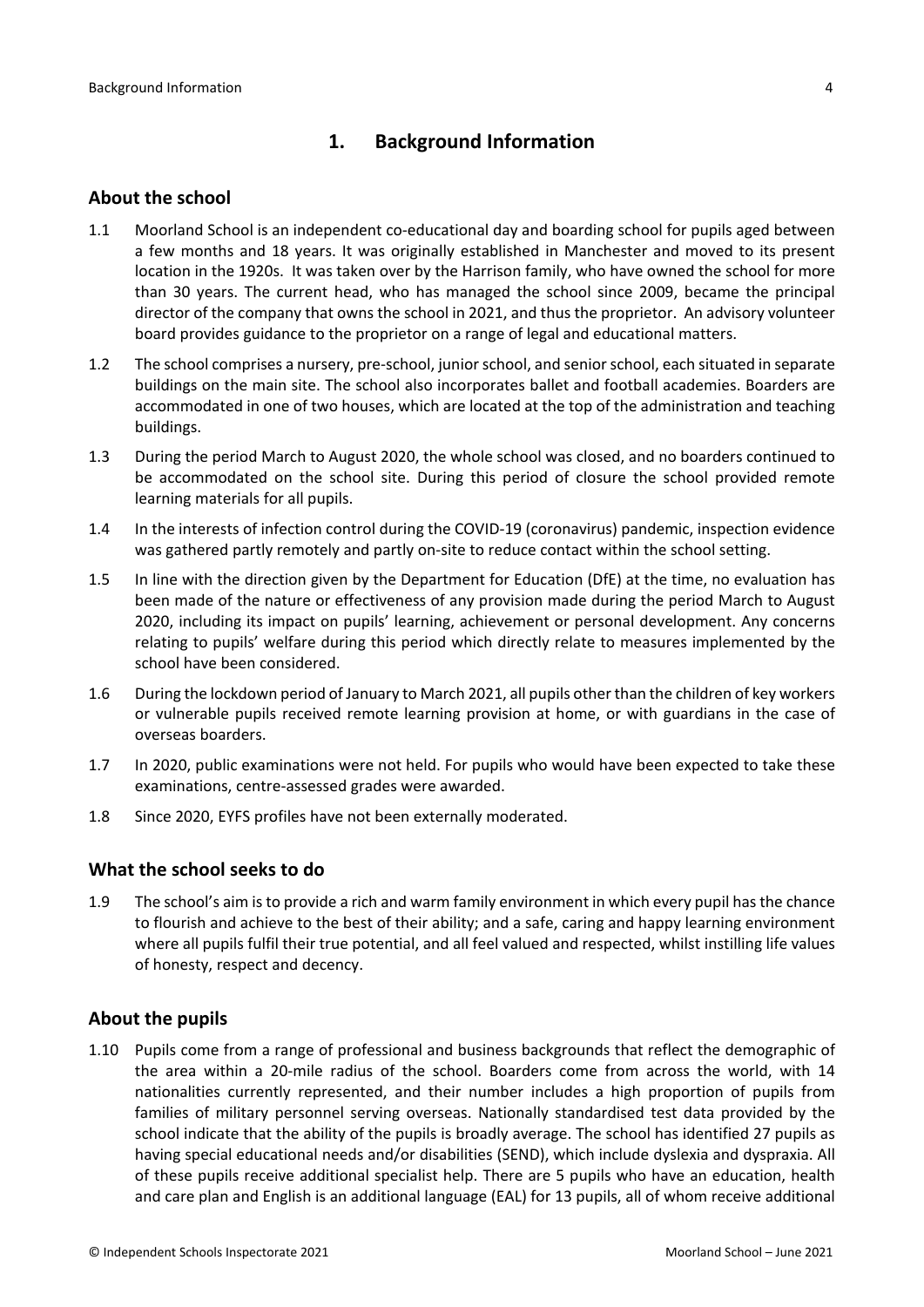# <span id="page-3-0"></span>**1. Background Information**

### <span id="page-3-1"></span>**About the school**

- 1.1 Moorland School is an independent co-educational day and boarding school for pupils aged between a few months and 18 years. It was originally established in Manchester and moved to its present location in the 1920s. It was taken over by the Harrison family, who have owned the school for more than 30 years. The current head, who has managed the school since 2009, became the principal director of the company that owns the school in 2021, and thus the proprietor. An advisory volunteer board provides guidance to the proprietor on a range of legal and educational matters.
- 1.2 The school comprises a nursery, pre-school, junior school, and senior school, each situated in separate buildings on the main site. The school also incorporates ballet and football academies. Boarders are accommodated in one of two houses, which are located at the top of the administration and teaching buildings.
- 1.3 During the period March to August 2020, the whole school was closed, and no boarders continued to be accommodated on the school site. During this period of closure the school provided remote learning materials for all pupils.
- 1.4 In the interests of infection control during the COVID-19 (coronavirus) pandemic, inspection evidence was gathered partly remotely and partly on-site to reduce contact within the school setting.
- 1.5 In line with the direction given by the Department for Education (DfE) at the time, no evaluation has been made of the nature or effectiveness of any provision made during the period March to August 2020, including its impact on pupils' learning, achievement or personal development. Any concerns relating to pupils' welfare during this period which directly relate to measures implemented by the school have been considered.
- 1.6 During the lockdown period of January to March 2021, all pupils other than the children of key workers or vulnerable pupils received remote learning provision at home, or with guardians in the case of overseas boarders.
- 1.7 In 2020, public examinations were not held. For pupils who would have been expected to take these examinations, centre-assessed grades were awarded.
- 1.8 Since 2020, EYFS profiles have not been externally moderated.

# <span id="page-3-2"></span>**What the school seeks to do**

1.9 The school's aim isto provide a rich and warm family environment in which every pupil hasthe chance to flourish and achieve to the best of their ability; and a safe, caring and happy learning environment where all pupils fulfil their true potential, and all feel valued and respected, whilst instilling life values of honesty, respect and decency.

# <span id="page-3-3"></span>**About the pupils**

1.10 Pupils come from a range of professional and business backgrounds that reflect the demographic of the area within a 20-mile radius of the school. Boarders come from across the world, with 14 nationalities currently represented, and their number includes a high proportion of pupils from families of military personnel serving overseas. Nationally standardised test data provided by the school indicate that the ability of the pupils is broadly average. The school has identified 27 pupils as having special educational needs and/or disabilities (SEND), which include dyslexia and dyspraxia. All of these pupils receive additional specialist help. There are 5 pupils who have an education, health and care plan and English is an additional language (EAL) for 13 pupils, all of whom receive additional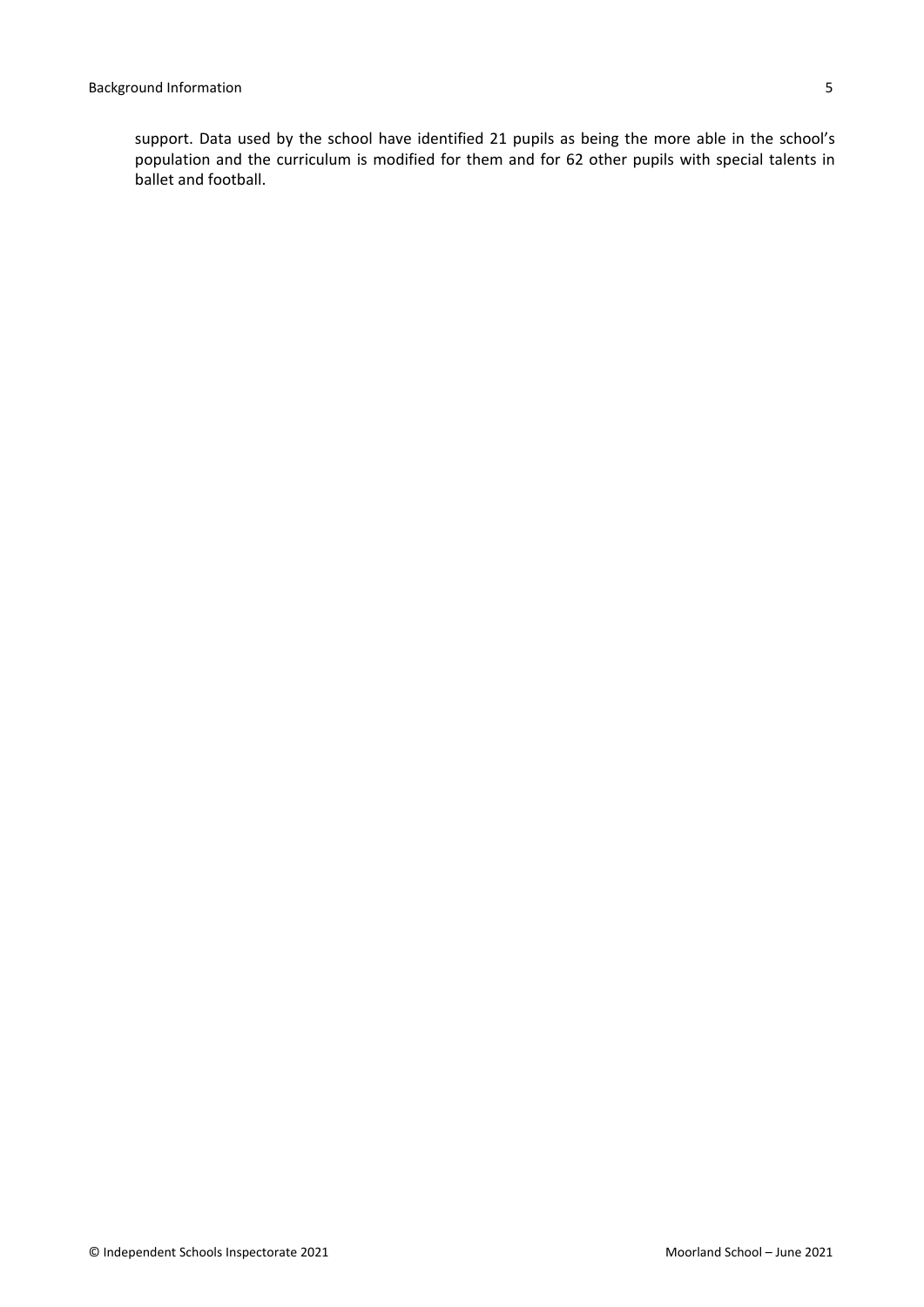support. Data used by the school have identified 21 pupils as being the more able in the school's population and the curriculum is modified for them and for 62 other pupils with special talents in ballet and football.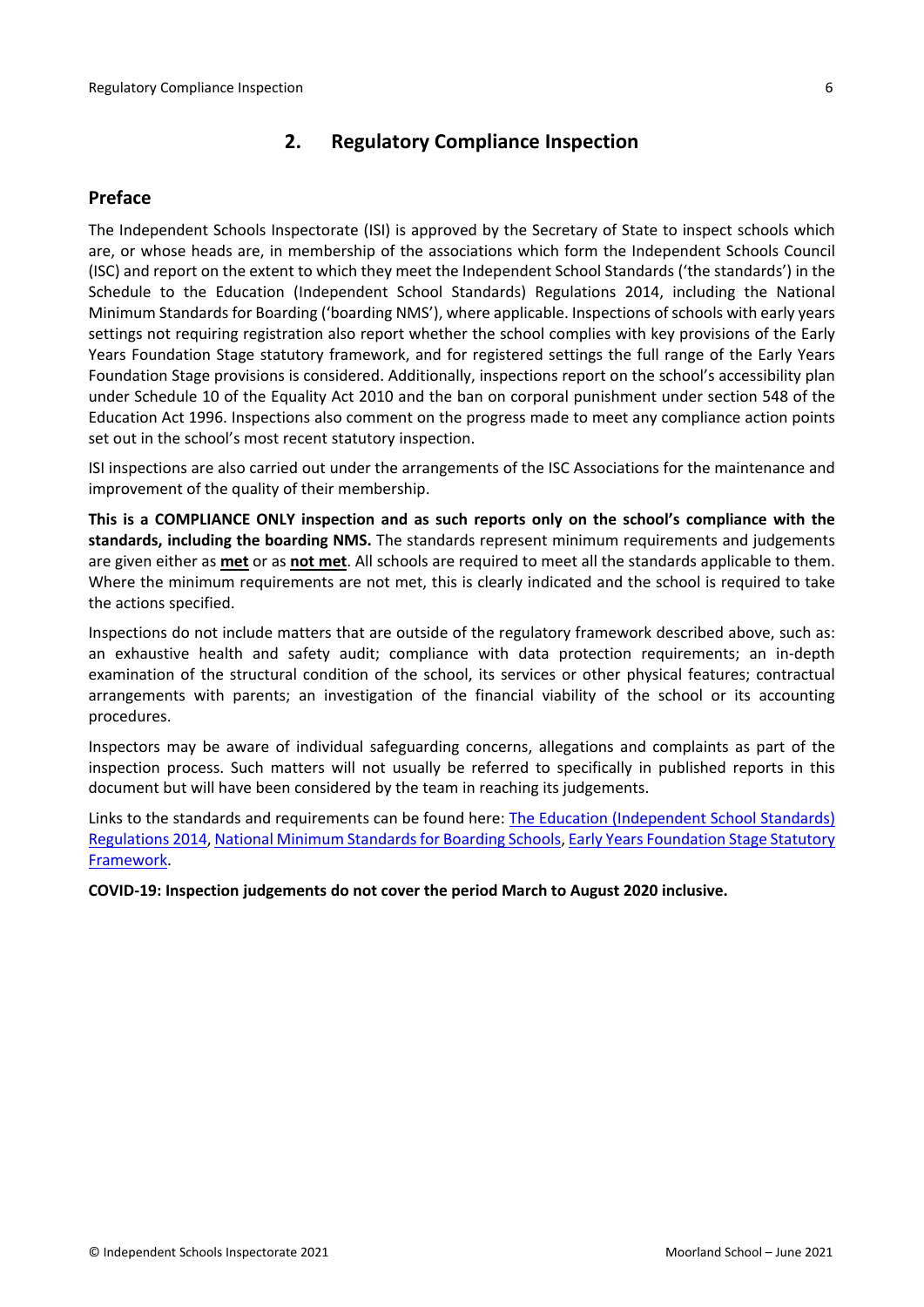# <span id="page-5-0"></span>**2. Regulatory Compliance Inspection**

# <span id="page-5-1"></span>**Preface**

The Independent Schools Inspectorate (ISI) is approved by the Secretary of State to inspect schools which are, or whose heads are, in membership of the associations which form the Independent Schools Council (ISC) and report on the extent to which they meet the Independent School Standards ('the standards') in the Schedule to the Education (Independent School Standards) Regulations 2014, including the National Minimum Standards for Boarding ('boarding NMS'), where applicable. Inspections ofschools with early years settings not requiring registration also report whether the school complies with key provisions of the Early Years Foundation Stage statutory framework, and for registered settings the full range of the Early Years Foundation Stage provisions is considered. Additionally, inspections report on the school's accessibility plan under Schedule 10 of the Equality Act 2010 and the ban on corporal punishment under section 548 of the Education Act 1996. Inspections also comment on the progress made to meet any compliance action points set out in the school's most recent statutory inspection.

ISI inspections are also carried out under the arrangements of the ISC Associations for the maintenance and improvement of the quality of their membership.

**This is a COMPLIANCE ONLY inspection and as such reports only on the school's compliance with the standards, including the boarding NMS.** The standards represent minimum requirements and judgements are given either as **met** or as **not met**. All schools are required to meet all the standards applicable to them. Where the minimum requirements are not met, this is clearly indicated and the school is required to take the actions specified.

Inspections do not include matters that are outside of the regulatory framework described above, such as: an exhaustive health and safety audit; compliance with data protection requirements; an in-depth examination of the structural condition of the school, its services or other physical features; contractual arrangements with parents; an investigation of the financial viability of the school or its accounting procedures.

Inspectors may be aware of individual safeguarding concerns, allegations and complaints as part of the inspection process. Such matters will not usually be referred to specifically in published reports in this document but will have been considered by the team in reaching its judgements.

Links to the standards and requirements can be found here: The Education [\(Independent](http://www.legislation.gov.uk/uksi/2014/3283/contents/made) School Standards) [Regulations](http://www.legislation.gov.uk/uksi/2014/3283/contents/made) 2014, National Minimum Standards for Boarding Schools, Early Years [Foundation](https://www.gov.uk/government/publications/early-years-foundation-stage-framework--2) Stage Statutory [Framework.](https://www.gov.uk/government/publications/early-years-foundation-stage-framework--2)

**COVID-19: Inspection judgements do not cover the period March to August 2020 inclusive.**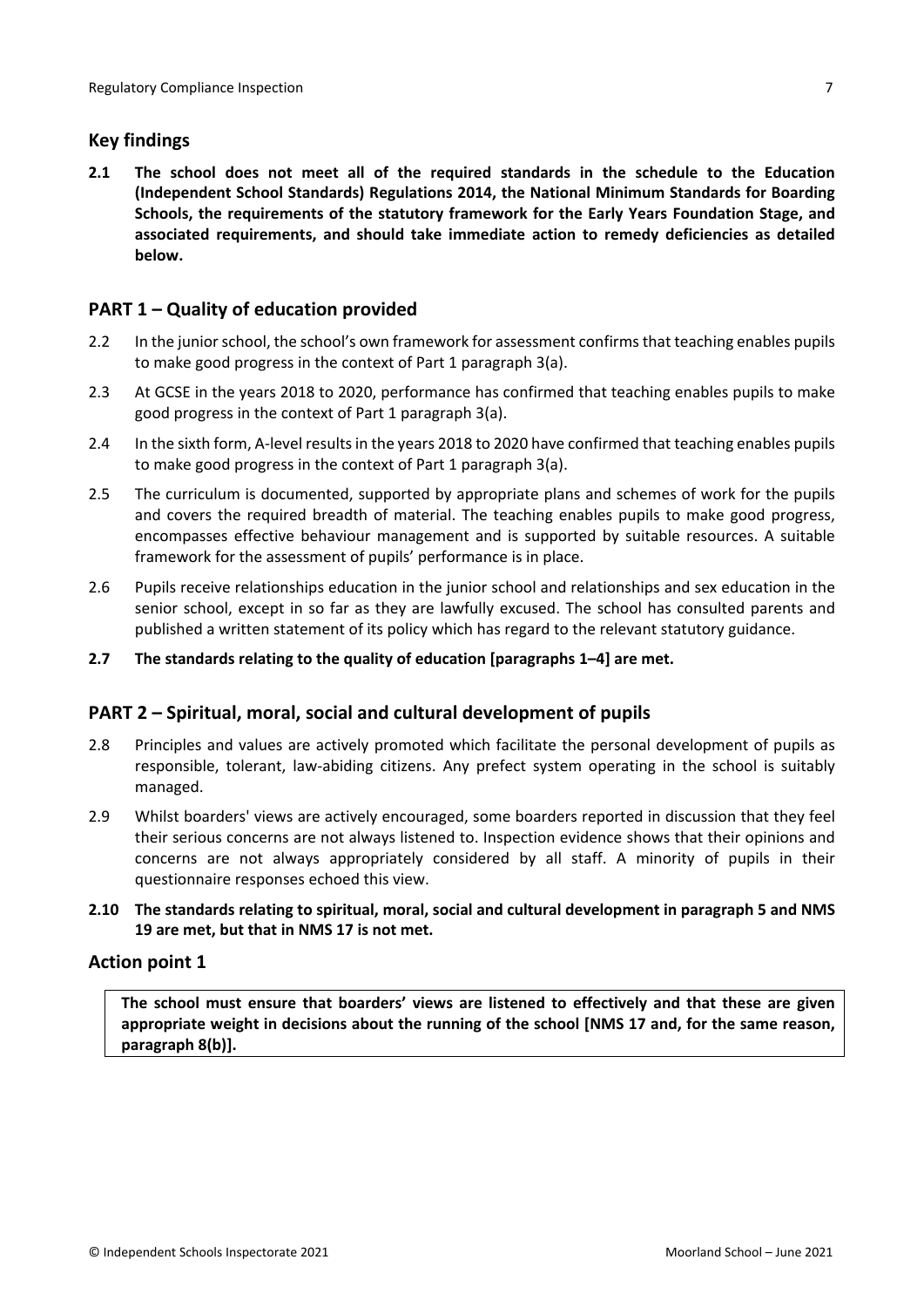# <span id="page-6-0"></span>**Key findings**

**2.1 The school does not meet all of the required standards in the schedule to the Education (Independent School Standards) Regulations 2014, the National Minimum Standards for Boarding Schools, the requirements of the statutory framework for the Early Years Foundation Stage, and associated requirements, and should take immediate action to remedy deficiencies as detailed below.**

# <span id="page-6-1"></span>**PART 1 – Quality of education provided**

- 2.2 In the junior school, the school's own framework for assessment confirms that teaching enables pupils to make good progress in the context of Part 1 paragraph 3(a).
- 2.3 At GCSE in the years 2018 to 2020, performance has confirmed that teaching enables pupils to make good progress in the context of Part 1 paragraph 3(a).
- 2.4 In the sixth form, A-level resultsin the years 2018 to 2020 have confirmed that teaching enables pupils to make good progress in the context of Part 1 paragraph 3(a).
- 2.5 The curriculum is documented, supported by appropriate plans and schemes of work for the pupils and covers the required breadth of material. The teaching enables pupils to make good progress, encompasses effective behaviour management and is supported by suitable resources. A suitable framework for the assessment of pupils' performance is in place.
- 2.6 Pupils receive relationships education in the junior school and relationships and sex education in the senior school, except in so far as they are lawfully excused. The school has consulted parents and published a written statement of its policy which has regard to the relevant statutory guidance.
- **2.7 The standards relating to the quality of education [paragraphs 1–4] are met.**

# <span id="page-6-2"></span>**PART 2 – Spiritual, moral, social and cultural development of pupils**

- 2.8 Principles and values are actively promoted which facilitate the personal development of pupils as responsible, tolerant, law-abiding citizens. Any prefect system operating in the school is suitably managed.
- 2.9 Whilst boarders' views are actively encouraged, some boarders reported in discussion that they feel their serious concerns are not always listened to. Inspection evidence shows that their opinions and concerns are not always appropriately considered by all staff. A minority of pupils in their questionnaire responses echoed this view.
- **2.10 The standards relating to spiritual, moral, social and cultural development in paragraph 5 and NMS 19 are met, but that in NMS 17 is not met.**

# **Action point 1**

**The school must ensure that boarders' views are listened to effectively and that these are given appropriate weight in decisions about the running of the school [NMS 17 and, for the same reason, paragraph 8(b)].**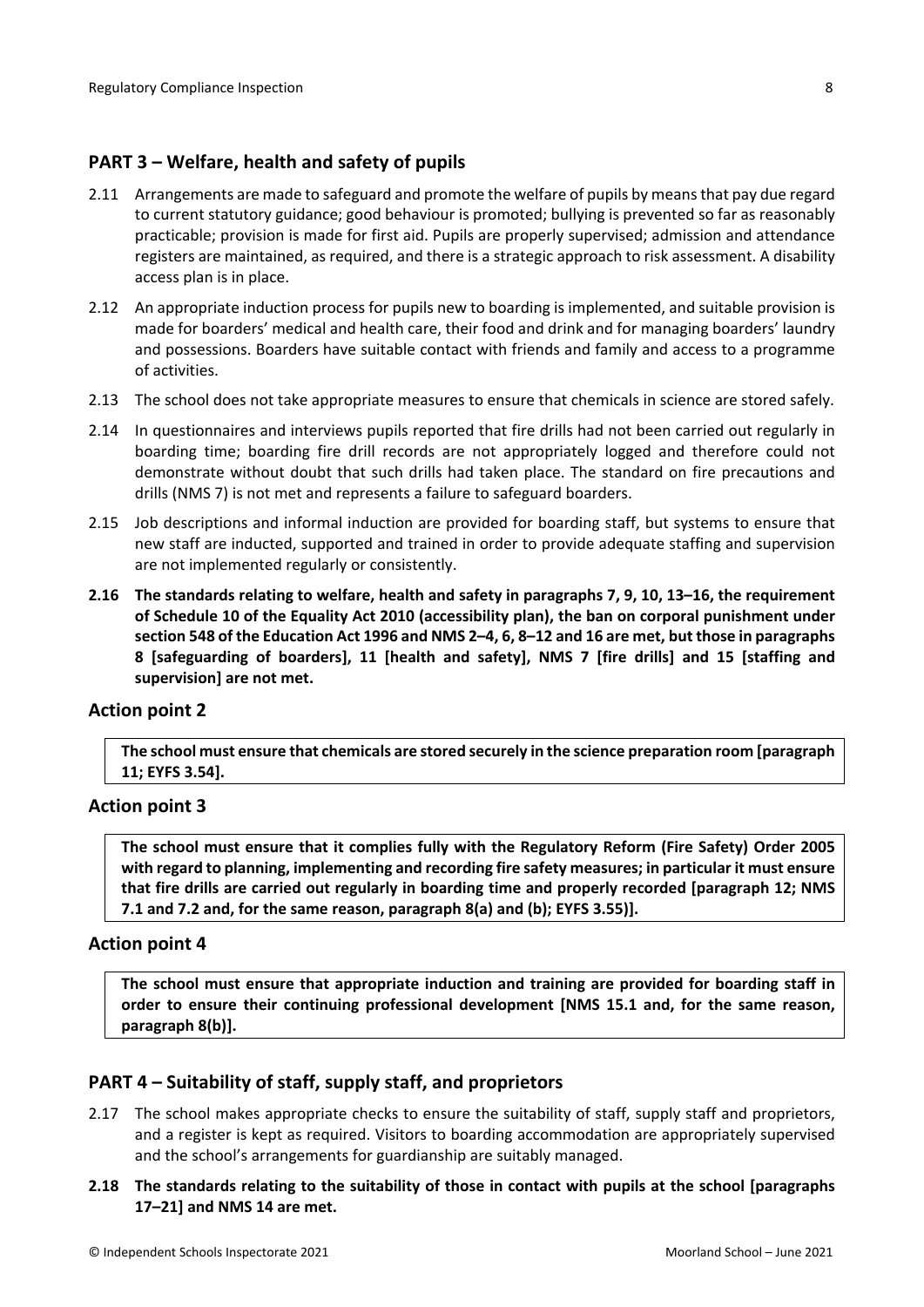# <span id="page-7-0"></span>**PART 3 – Welfare, health and safety of pupils**

- 2.11 Arrangements are made to safeguard and promote the welfare of pupils by means that pay due regard to current statutory guidance; good behaviour is promoted; bullying is prevented so far as reasonably practicable; provision is made for first aid. Pupils are properly supervised; admission and attendance registers are maintained, as required, and there is a strategic approach to risk assessment. A disability access plan is in place.
- 2.12 An appropriate induction process for pupils new to boarding is implemented, and suitable provision is made for boarders' medical and health care, their food and drink and for managing boarders' laundry and possessions. Boarders have suitable contact with friends and family and access to a programme of activities.
- 2.13 The school does not take appropriate measures to ensure that chemicals in science are stored safely.
- 2.14 In questionnaires and interviews pupils reported that fire drills had not been carried out regularly in boarding time; boarding fire drill records are not appropriately logged and therefore could not demonstrate without doubt that such drills had taken place. The standard on fire precautions and drills (NMS 7) is not met and represents a failure to safeguard boarders.
- 2.15 Job descriptions and informal induction are provided for boarding staff, but systems to ensure that new staff are inducted, supported and trained in order to provide adequate staffing and supervision are not implemented regularly or consistently.
- **2.16 The standards relating to welfare, health and safety in paragraphs 7, 9, 10, 13–16, the requirement of Schedule 10 of the Equality Act 2010 (accessibility plan), the ban on corporal punishment under** section 548 of the Education Act 1996 and NMS 2-4, 6, 8-12 and 16 are met, but those in paragraphs **8 [safeguarding of boarders], 11 [health and safety], NMS 7 [fire drills] and 15 [staffing and supervision] are not met.**

### **Action point 2**

**The school must ensure that chemicals are stored securely in the science preparation room [paragraph 11; EYFS 3.54].**

### **Action point 3**

**The school must ensure that it complies fully with the Regulatory Reform (Fire Safety) Order 2005 with regard to planning, implementing and recording fire safety measures; in particular it must ensure that fire drills are carried out regularly in boarding time and properly recorded [paragraph 12; NMS 7.1 and 7.2 and, for the same reason, paragraph 8(a) and (b); EYFS 3.55)].**

### **Action point 4**

**The school must ensure that appropriate induction and training are provided for boarding staff in order to ensure their continuing professional development [NMS 15.1 and, for the same reason, paragraph 8(b)].**

# <span id="page-7-1"></span>**PART 4 – Suitability of staff, supply staff, and proprietors**

- 2.17 The school makes appropriate checks to ensure the suitability of staff, supply staff and proprietors, and a register is kept as required. Visitors to boarding accommodation are appropriately supervised and the school's arrangements for guardianship are suitably managed.
- **2.18 The standards relating to the suitability of those in contact with pupils at the school [paragraphs 17–21] and NMS 14 are met.**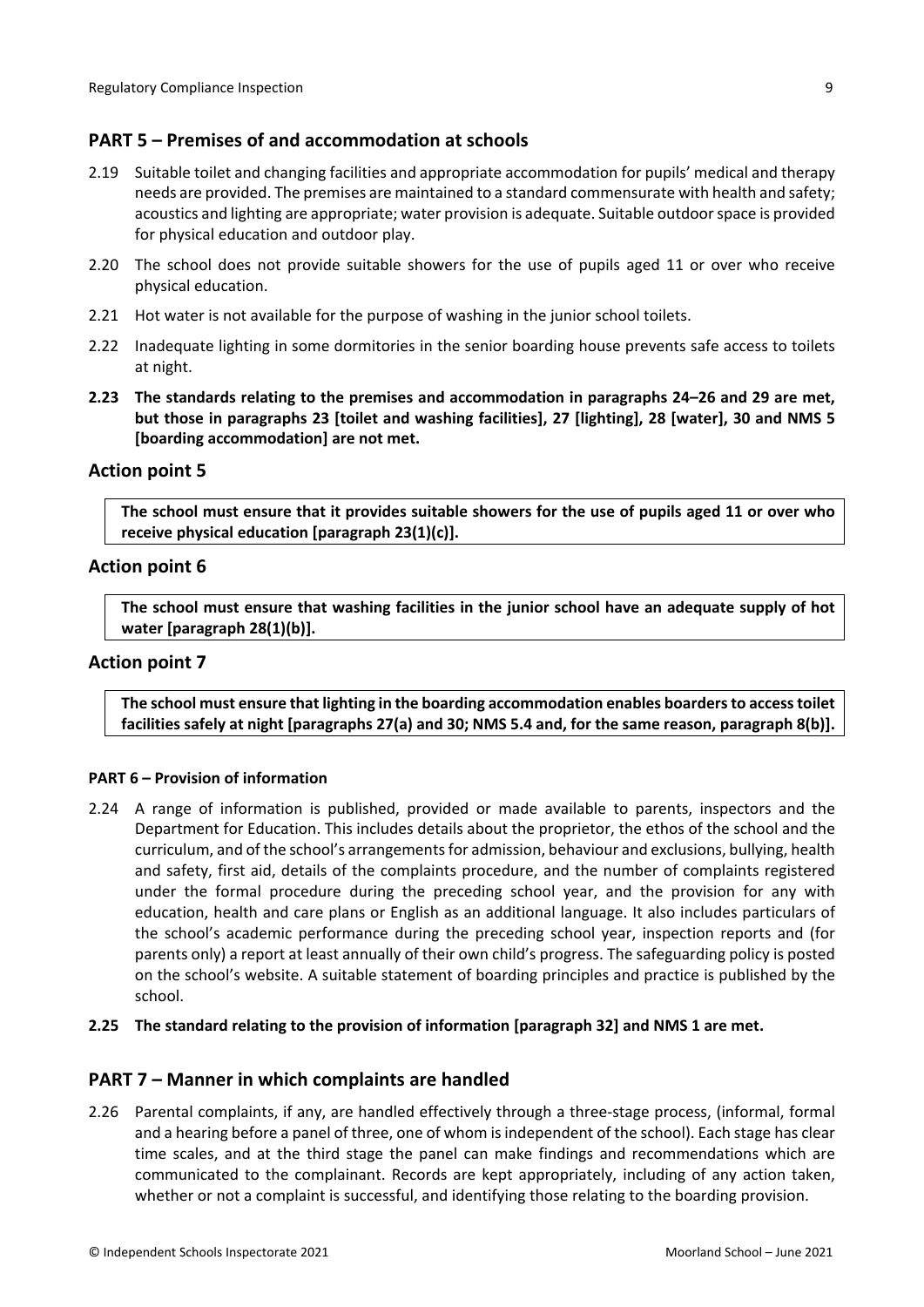# <span id="page-8-0"></span>**PART 5 – Premises of and accommodation at schools**

- 2.19 Suitable toilet and changing facilities and appropriate accommodation for pupils' medical and therapy needs are provided. The premises are maintained to a standard commensurate with health and safety; acoustics and lighting are appropriate; water provision is adequate. Suitable outdoorspace is provided for physical education and outdoor play.
- 2.20 The school does not provide suitable showers for the use of pupils aged 11 or over who receive physical education.
- 2.21 Hot water is not available for the purpose of washing in the junior school toilets.
- 2.22 Inadequate lighting in some dormitories in the senior boarding house prevents safe access to toilets at night.
- **2.23 The standards relating to the premises and accommodation in paragraphs 24–26 and 29 are met, but those in paragraphs 23 [toilet and washing facilities], 27 [lighting], 28 [water], 30 and NMS 5 [boarding accommodation] are not met.**

### **Action point 5**

The school must ensure that it provides suitable showers for the use of pupils aged 11 or over who **receive physical education [paragraph 23(1)(c)].**

## **Action point 6**

**The school must ensure that washing facilities in the junior school have an adequate supply of hot water [paragraph 28(1)(b)].**

### **Action point 7**

**The school must ensure that lighting in the boarding accommodation enables boardersto accesstoilet facilities safely at night [paragraphs 27(a) and 30; NMS 5.4 and, for the same reason, paragraph 8(b)].**

#### <span id="page-8-1"></span>**PART 6 – Provision of information**

2.24 A range of information is published, provided or made available to parents, inspectors and the Department for Education. This includes details about the proprietor, the ethos of the school and the curriculum, and of the school's arrangementsfor admission, behaviour and exclusions, bullying, health and safety, first aid, details of the complaints procedure, and the number of complaints registered under the formal procedure during the preceding school year, and the provision for any with education, health and care plans or English as an additional language. It also includes particulars of the school's academic performance during the preceding school year, inspection reports and (for parents only) a report at least annually of their own child's progress. The safeguarding policy is posted on the school's website. A suitable statement of boarding principles and practice is published by the school.

### **2.25 The standard relating to the provision of information [paragraph 32] and NMS 1 are met.**

### <span id="page-8-2"></span>**PART 7 – Manner in which complaints are handled**

2.26 Parental complaints, if any, are handled effectively through a three-stage process, (informal, formal and a hearing before a panel of three, one of whom is independent of the school). Each stage has clear time scales, and at the third stage the panel can make findings and recommendations which are communicated to the complainant. Records are kept appropriately, including of any action taken, whether or not a complaint is successful, and identifying those relating to the boarding provision.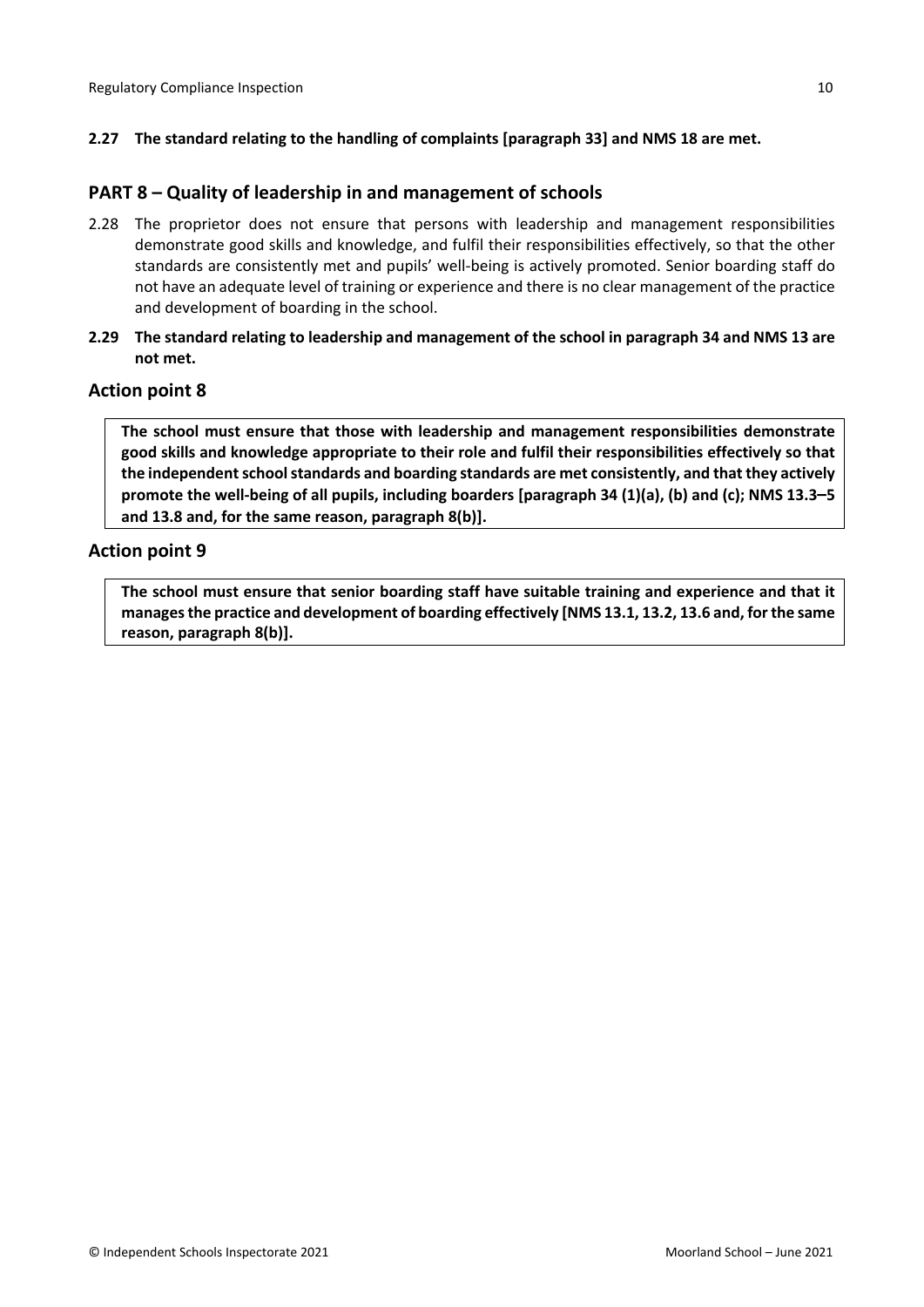## **2.27 The standard relating to the handling of complaints [paragraph 33] and NMS 18 are met.**

## <span id="page-9-0"></span>**PART 8 – Quality of leadership in and management of schools**

- 2.28 The proprietor does not ensure that persons with leadership and management responsibilities demonstrate good skills and knowledge, and fulfil their responsibilities effectively, so that the other standards are consistently met and pupils' well-being is actively promoted. Senior boarding staff do not have an adequate level of training or experience and there is no clear management of the practice and development of boarding in the school.
- 2.29 The standard relating to leadership and management of the school in paragraph 34 and NMS 13 are **not met.**

### **Action point 8**

**The school must ensure that those with leadership and management responsibilities demonstrate good skills and knowledge appropriate to their role and fulfil their responsibilities effectively so that the independentschoolstandards and boarding standards are met consistently, and that they actively** promote the well-being of all pupils, including boarders [paragraph 34 (1)(a), (b) and (c); NMS 13.3-5 **and 13.8 and, for the same reason, paragraph 8(b)].**

## **Action point 9**

**The school must ensure that senior boarding staff have suitable training and experience and that it managesthe practice and development of boarding effectively [NMS 13.1, 13.2, 13.6 and, forthe same reason, paragraph 8(b)].**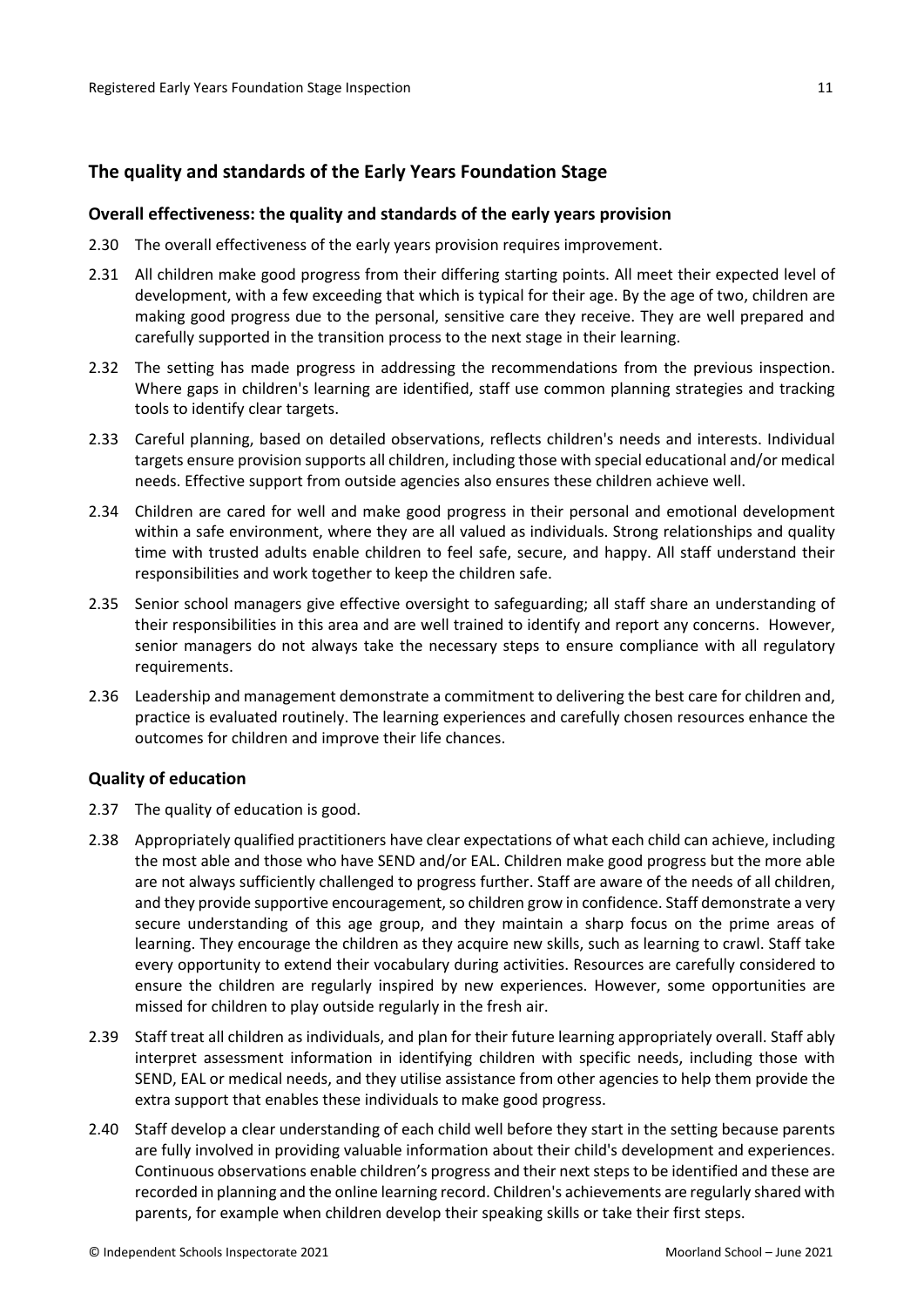# <span id="page-10-0"></span>**The quality and standards of the Early Years Foundation Stage**

#### <span id="page-10-1"></span>**Overall effectiveness: the quality and standards of the early years provision**

- 2.30 The overall effectiveness of the early years provision requires improvement.
- 2.31 All children make good progress from their differing starting points. All meet their expected level of development, with a few exceeding that which is typical for their age. By the age of two, children are making good progress due to the personal, sensitive care they receive. They are well prepared and carefully supported in the transition process to the next stage in their learning.
- 2.32 The setting has made progress in addressing the recommendations from the previous inspection. Where gaps in children's learning are identified, staff use common planning strategies and tracking tools to identify clear targets.
- 2.33 Careful planning, based on detailed observations, reflects children's needs and interests. Individual targets ensure provision supports all children, including those with special educational and/or medical needs. Effective support from outside agencies also ensures these children achieve well.
- 2.34 Children are cared for well and make good progress in their personal and emotional development within a safe environment, where they are all valued as individuals. Strong relationships and quality time with trusted adults enable children to feel safe, secure, and happy. All staff understand their responsibilities and work together to keep the children safe.
- 2.35 Senior school managers give effective oversight to safeguarding; all staff share an understanding of their responsibilities in this area and are well trained to identify and report any concerns. However, senior managers do not always take the necessary steps to ensure compliance with all regulatory requirements.
- 2.36 Leadership and management demonstrate a commitment to delivering the best care for children and, practice is evaluated routinely. The learning experiences and carefully chosen resources enhance the outcomes for children and improve their life chances.

#### <span id="page-10-2"></span>**Quality of education**

- 2.37 The quality of education is good.
- 2.38 Appropriately qualified practitioners have clear expectations of what each child can achieve, including the most able and those who have SEND and/or EAL. Children make good progress but the more able are not always sufficiently challenged to progress further. Staff are aware of the needs of all children, and they provide supportive encouragement, so children grow in confidence. Staff demonstrate a very secure understanding of this age group, and they maintain a sharp focus on the prime areas of learning. They encourage the children as they acquire new skills, such as learning to crawl. Staff take every opportunity to extend their vocabulary during activities. Resources are carefully considered to ensure the children are regularly inspired by new experiences. However, some opportunities are missed for children to play outside regularly in the fresh air.
- 2.39 Staff treat all children as individuals, and plan for their future learning appropriately overall. Staff ably interpret assessment information in identifying children with specific needs, including those with SEND, EAL or medical needs, and they utilise assistance from other agencies to help them provide the extra support that enables these individuals to make good progress.
- 2.40 Staff develop a clear understanding of each child well before they start in the setting because parents are fully involved in providing valuable information about their child's development and experiences. Continuous observations enable children's progress and their nextstepsto be identified and these are recorded in planning and the online learning record. Children's achievements are regularly shared with parents, for example when children develop their speaking skills or take their first steps.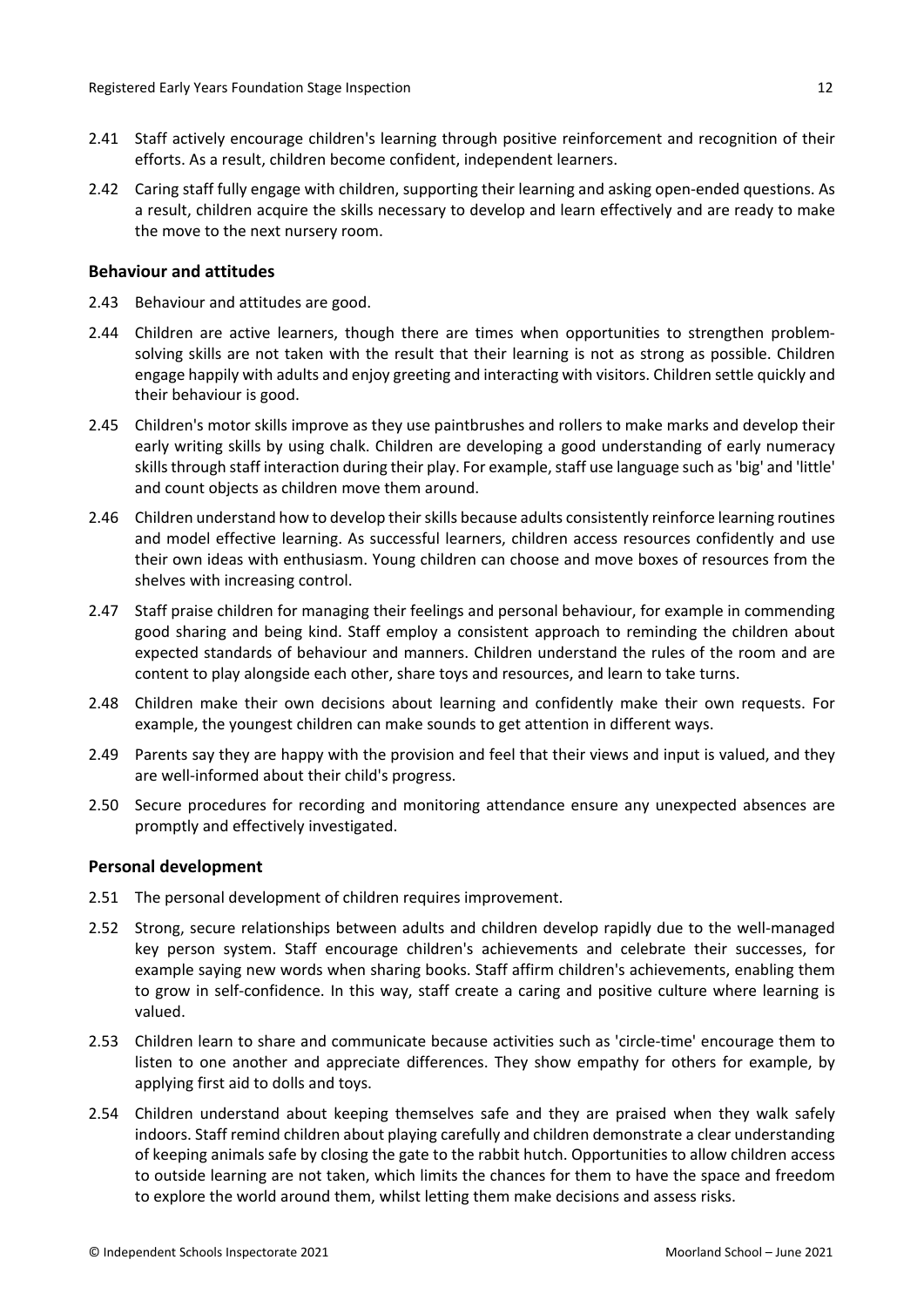- 2.41 Staff actively encourage children's learning through positive reinforcement and recognition of their efforts. As a result, children become confident, independent learners.
- 2.42 Caring staff fully engage with children, supporting their learning and asking open-ended questions. As a result, children acquire the skills necessary to develop and learn effectively and are ready to make the move to the next nursery room.

### <span id="page-11-0"></span>**Behaviour and attitudes**

- 2.43 Behaviour and attitudes are good.
- 2.44 Children are active learners, though there are times when opportunities to strengthen problemsolving skills are not taken with the result that their learning is not as strong as possible. Children engage happily with adults and enjoy greeting and interacting with visitors. Children settle quickly and their behaviour is good.
- 2.45 Children's motor skills improve as they use paintbrushes and rollers to make marks and develop their early writing skills by using chalk. Children are developing a good understanding of early numeracy skills through staff interaction during their play. For example, staff use language such as 'big' and 'little' and count objects as children move them around.
- 2.46 Children understand how to develop their skills because adults consistently reinforce learning routines and model effective learning. As successful learners, children access resources confidently and use their own ideas with enthusiasm. Young children can choose and move boxes of resources from the shelves with increasing control.
- 2.47 Staff praise children for managing their feelings and personal behaviour, for example in commending good sharing and being kind. Staff employ a consistent approach to reminding the children about expected standards of behaviour and manners. Children understand the rules of the room and are content to play alongside each other, share toys and resources, and learn to take turns.
- 2.48 Children make their own decisions about learning and confidently make their own requests. For example, the youngest children can make sounds to get attention in different ways.
- 2.49 Parents say they are happy with the provision and feel that their views and input is valued, and they are well-informed about their child's progress.
- 2.50 Secure procedures for recording and monitoring attendance ensure any unexpected absences are promptly and effectively investigated.

#### <span id="page-11-1"></span>**Personal development**

- 2.51 The personal development of children requires improvement.
- 2.52 Strong, secure relationships between adults and children develop rapidly due to the well-managed key person system. Staff encourage children's achievements and celebrate their successes, for example saying new words when sharing books. Staff affirm children's achievements, enabling them to grow in self-confidence. In this way, staff create a caring and positive culture where learning is valued.
- 2.53 Children learn to share and communicate because activities such as 'circle-time' encourage them to listen to one another and appreciate differences. They show empathy for others for example, by applying first aid to dolls and toys.
- 2.54 Children understand about keeping themselves safe and they are praised when they walk safely indoors. Staff remind children about playing carefully and children demonstrate a clear understanding of keeping animals safe by closing the gate to the rabbit hutch. Opportunities to allow children access to outside learning are not taken, which limits the chances for them to have the space and freedom to explore the world around them, whilst letting them make decisions and assess risks.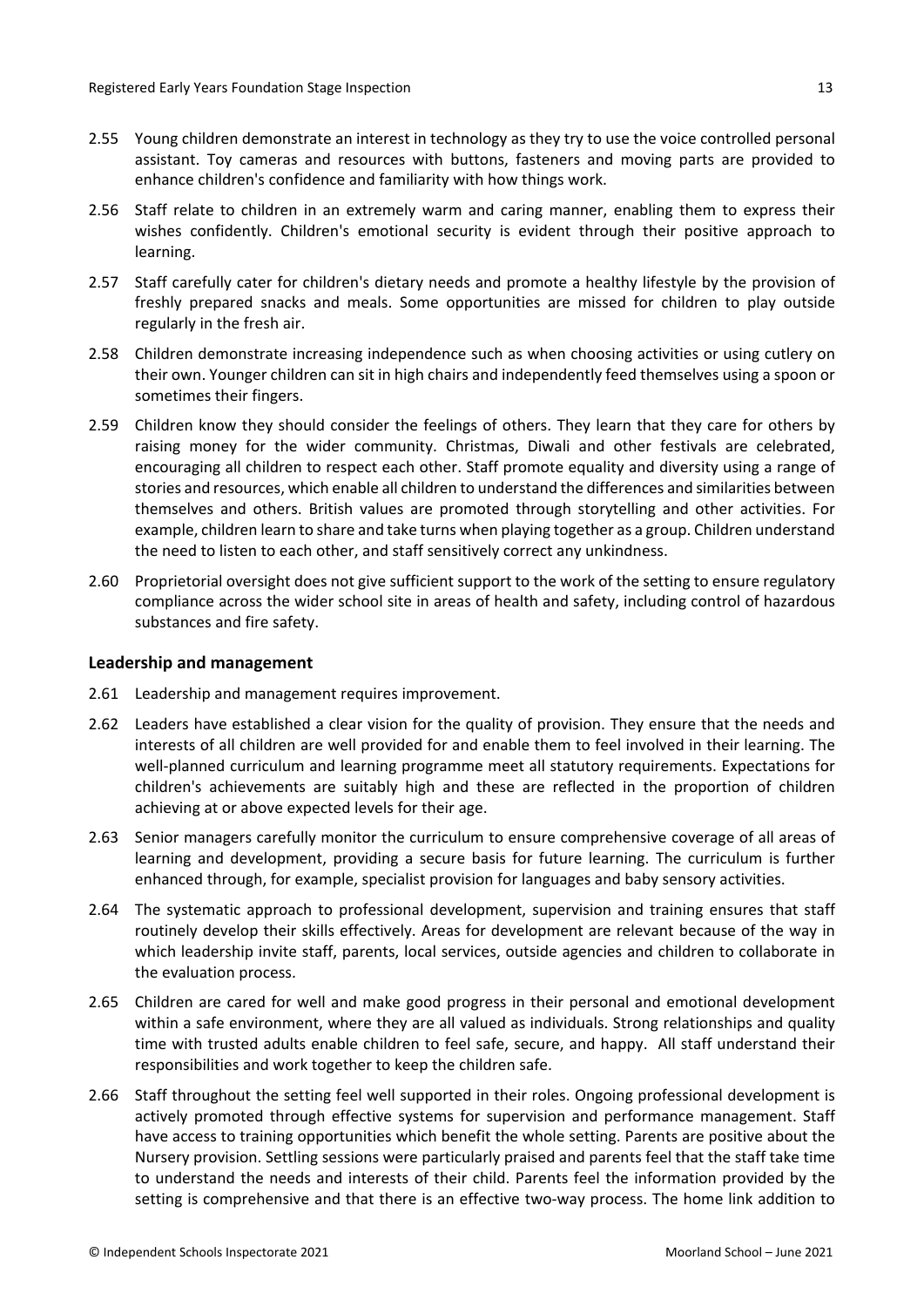- 2.55 Young children demonstrate an interest in technology as they try to use the voice controlled personal assistant. Toy cameras and resources with buttons, fasteners and moving parts are provided to enhance children's confidence and familiarity with how things work.
- 2.56 Staff relate to children in an extremely warm and caring manner, enabling them to express their wishes confidently. Children's emotional security is evident through their positive approach to learning.
- 2.57 Staff carefully cater for children's dietary needs and promote a healthy lifestyle by the provision of freshly prepared snacks and meals. Some opportunities are missed for children to play outside regularly in the fresh air.
- 2.58 Children demonstrate increasing independence such as when choosing activities or using cutlery on their own. Younger children can sit in high chairs and independently feed themselves using a spoon or sometimes their fingers.
- 2.59 Children know they should consider the feelings of others. They learn that they care for others by raising money for the wider community. Christmas, Diwali and other festivals are celebrated, encouraging all children to respect each other. Staff promote equality and diversity using a range of stories and resources, which enable all children to understand the differences and similarities between themselves and others. British values are promoted through storytelling and other activities. For example, children learn to share and take turns when playing together as a group. Children understand the need to listen to each other, and staff sensitively correct any unkindness.
- 2.60 Proprietorial oversight does not give sufficient support to the work of the setting to ensure regulatory compliance across the wider school site in areas of health and safety, including control of hazardous substances and fire safety.

#### <span id="page-12-0"></span>**Leadership and management**

- 2.61 Leadership and management requires improvement.
- 2.62 Leaders have established a clear vision for the quality of provision. They ensure that the needs and interests of all children are well provided for and enable them to feel involved in their learning. The well-planned curriculum and learning programme meet all statutory requirements. Expectations for children's achievements are suitably high and these are reflected in the proportion of children achieving at or above expected levels for their age.
- 2.63 Senior managers carefully monitor the curriculum to ensure comprehensive coverage of all areas of learning and development, providing a secure basis for future learning. The curriculum is further enhanced through, for example, specialist provision for languages and baby sensory activities.
- 2.64 The systematic approach to professional development, supervision and training ensures that staff routinely develop their skills effectively. Areas for development are relevant because of the way in which leadership invite staff, parents, local services, outside agencies and children to collaborate in the evaluation process.
- 2.65 Children are cared for well and make good progress in their personal and emotional development within a safe environment, where they are all valued as individuals. Strong relationships and quality time with trusted adults enable children to feel safe, secure, and happy. All staff understand their responsibilities and work together to keep the children safe.
- 2.66 Staff throughout the setting feel well supported in their roles. Ongoing professional development is actively promoted through effective systems for supervision and performance management. Staff have access to training opportunities which benefit the whole setting. Parents are positive about the Nursery provision. Settling sessions were particularly praised and parents feel that the staff take time to understand the needs and interests of their child. Parents feel the information provided by the setting is comprehensive and that there is an effective two-way process. The home link addition to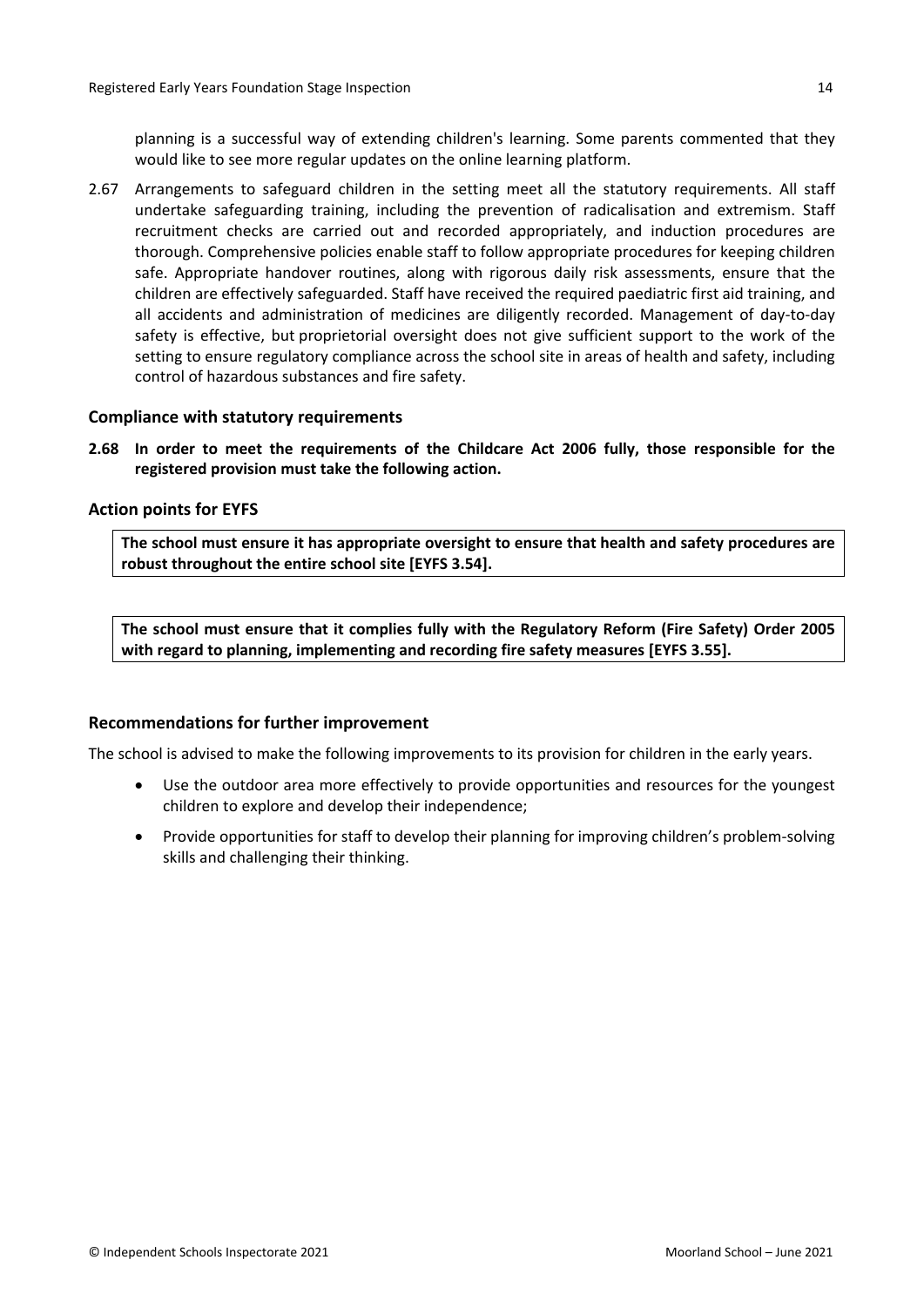planning is a successful way of extending children's learning. Some parents commented that they would like to see more regular updates on the online learning platform.

2.67 Arrangements to safeguard children in the setting meet all the statutory requirements. All staff undertake safeguarding training, including the prevention of radicalisation and extremism. Staff recruitment checks are carried out and recorded appropriately, and induction procedures are thorough. Comprehensive policies enable staff to follow appropriate procedures for keeping children safe. Appropriate handover routines, along with rigorous daily risk assessments, ensure that the children are effectively safeguarded. Staff have received the required paediatric first aid training, and all accidents and administration of medicines are diligently recorded. Management of day-to-day safety is effective, but proprietorial oversight does not give sufficient support to the work of the setting to ensure regulatory compliance across the school site in areas of health and safety, including control of hazardous substances and fire safety.

#### <span id="page-13-0"></span>**Compliance with statutory requirements**

**2.68 In order to meet the requirements of the Childcare Act 2006 fully, those responsible for the registered provision must take the following action.**

#### <span id="page-13-1"></span>**Action points for EYFS**

**The school must ensure it has appropriate oversight to ensure that health and safety procedures are robust throughout the entire school site [EYFS 3.54].**

**The school must ensure that it complies fully with the Regulatory Reform (Fire Safety) Order 2005 with regard to planning, implementing and recording fire safety measures [EYFS 3.55].**

### <span id="page-13-2"></span>**Recommendations for further improvement**

The school is advised to make the following improvements to its provision for children in the early years.

- Use the outdoor area more effectively to provide opportunities and resources for the youngest children to explore and develop their independence;
- Provide opportunities for staff to develop their planning for improving children's problem-solving skills and challenging their thinking.